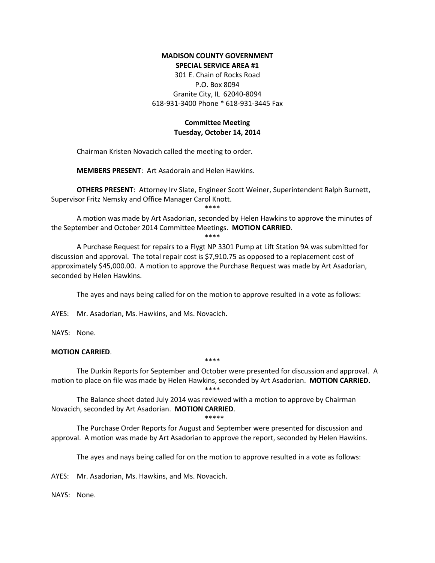#### **MADISON COUNTY GOVERNMENT SPECIAL SERVICE AREA #1**

301 E. Chain of Rocks Road P.O. Box 8094 Granite City, IL 62040-8094 618-931-3400 Phone \* 618-931-3445 Fax

# **Committee Meeting Tuesday, October 14, 2014**

Chairman Kristen Novacich called the meeting to order.

**MEMBERS PRESENT**: Art Asadorain and Helen Hawkins.

**OTHERS PRESENT**: Attorney Irv Slate, Engineer Scott Weiner, Superintendent Ralph Burnett, Supervisor Fritz Nemsky and Office Manager Carol Knott.

\*\*\*\*

A motion was made by Art Asadorian, seconded by Helen Hawkins to approve the minutes of the September and October 2014 Committee Meetings. **MOTION CARRIED**.

\*\*\*\*

A Purchase Request for repairs to a Flygt NP 3301 Pump at Lift Station 9A was submitted for discussion and approval. The total repair cost is \$7,910.75 as opposed to a replacement cost of approximately \$45,000.00. A motion to approve the Purchase Request was made by Art Asadorian, seconded by Helen Hawkins.

The ayes and nays being called for on the motion to approve resulted in a vote as follows:

AYES: Mr. Asadorian, Ms. Hawkins, and Ms. Novacich.

NAYS: None.

## **MOTION CARRIED**.

\*\*\*\*

The Durkin Reports for September and October were presented for discussion and approval. A motion to place on file was made by Helen Hawkins, seconded by Art Asadorian. **MOTION CARRIED.** \*\*\*\*

The Balance sheet dated July 2014 was reviewed with a motion to approve by Chairman Novacich, seconded by Art Asadorian. **MOTION CARRIED**.

\*\*\*\*\*

The Purchase Order Reports for August and September were presented for discussion and approval. A motion was made by Art Asadorian to approve the report, seconded by Helen Hawkins.

The ayes and nays being called for on the motion to approve resulted in a vote as follows:

AYES: Mr. Asadorian, Ms. Hawkins, and Ms. Novacich.

NAYS: None.